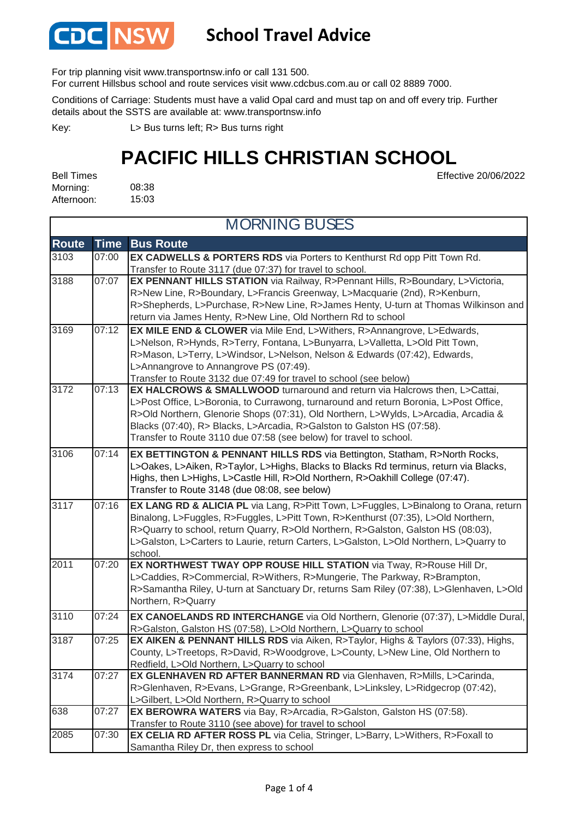

#### **School Travel Advice**

For trip planning visit www.transportnsw.info or call 131 500.

For current Hillsbus school and route services visit www.cdcbus.com.au or call 02 8889 7000.

Conditions of Carriage: Students must have a valid Opal card and must tap on and off every trip. Further details about the SSTS are available at: www.transportnsw.info

L> Bus turns left; R> Bus turns right Key:

### **PACIFIC HILLS CHRISTIAN SCHOOL**

Effective 20/06/2022

08:38 15:03 Bell Times Morning: Afternoon:

| <b>MORNING BUSES</b> |             |                                                                                                                                                                                                                                                                                                                                                                                                            |  |  |
|----------------------|-------------|------------------------------------------------------------------------------------------------------------------------------------------------------------------------------------------------------------------------------------------------------------------------------------------------------------------------------------------------------------------------------------------------------------|--|--|
| <b>Route</b>         | <b>Time</b> | <b>Bus Route</b>                                                                                                                                                                                                                                                                                                                                                                                           |  |  |
| 3103                 | 07:00       | EX CADWELLS & PORTERS RDS via Porters to Kenthurst Rd opp Pitt Town Rd.<br>Transfer to Route 3117 (due 07:37) for travel to school.                                                                                                                                                                                                                                                                        |  |  |
| 3188                 | 07:07       | EX PENNANT HILLS STATION via Railway, R>Pennant Hills, R>Boundary, L>Victoria,<br>R>New Line, R>Boundary, L>Francis Greenway, L>Macquarie (2nd), R>Kenburn,<br>R>Shepherds, L>Purchase, R>New Line, R>James Henty, U-turn at Thomas Wilkinson and<br>return via James Henty, R>New Line, Old Northern Rd to school                                                                                         |  |  |
| 3169                 | 07:12       | <b>EX MILE END &amp; CLOWER</b> via Mile End, L>Withers, R>Annangrove, L>Edwards,<br>L>Nelson, R>Hynds, R>Terry, Fontana, L>Bunyarra, L>Valletta, L>Old Pitt Town,<br>R>Mason, L>Terry, L>Windsor, L>Nelson, Nelson & Edwards (07:42), Edwards,<br>L>Annangrove to Annangrove PS (07:49).<br>Transfer to Route 3132 due 07:49 for travel to school (see below)                                             |  |  |
| 3172                 | 07:13       | EX HALCROWS & SMALLWOOD turnaround and return via Halcrows then, L>Cattai,<br>L>Post Office, L>Boronia, to Currawong, turnaround and return Boronia, L>Post Office,<br>R>Old Northern, Glenorie Shops (07:31), Old Northern, L>Wylds, L>Arcadia, Arcadia &<br>Blacks (07:40), R> Blacks, L>Arcadia, R>Galston to Galston HS (07:58).<br>Transfer to Route 3110 due 07:58 (see below) for travel to school. |  |  |
| 3106                 | 07:14       | EX BETTINGTON & PENNANT HILLS RDS via Bettington, Statham, R>North Rocks,<br>L>Oakes, L>Aiken, R>Taylor, L>Highs, Blacks to Blacks Rd terminus, return via Blacks,<br>Highs, then L>Highs, L>Castle Hill, R>Old Northern, R>Oakhill College (07:47).<br>Transfer to Route 3148 (due 08:08, see below)                                                                                                      |  |  |
| 3117                 | 07:16       | EX LANG RD & ALICIA PL via Lang, R>Pitt Town, L>Fuggles, L>Binalong to Orana, return<br>Binalong, L>Fuggles, R>Fuggles, L>Pitt Town, R>Kenthurst (07:35), L>Old Northern,<br>R>Quarry to school, return Quarry, R>Old Northern, R>Galston, Galston HS (08:03),<br>L>Galston, L>Carters to Laurie, return Carters, L>Galston, L>Old Northern, L>Quarry to<br>school.                                        |  |  |
| 2011                 | 07:20       | EX NORTHWEST TWAY OPP ROUSE HILL STATION via Tway, R>Rouse Hill Dr,<br>L>Caddies, R>Commercial, R>Withers, R>Mungerie, The Parkway, R>Brampton,<br>R>Samantha Riley, U-turn at Sanctuary Dr, returns Sam Riley (07:38), L>Glenhaven, L>Old<br>Northern, R>Quarry                                                                                                                                           |  |  |
| 3110                 | 07:24       | EX CANOELANDS RD INTERCHANGE via Old Northern, Glenorie (07:37), L>Middle Dural,<br>R>Galston, Galston HS (07:58), L>Old Northern, L>Quarry to school                                                                                                                                                                                                                                                      |  |  |
| 3187                 | 07:25       | EX AIKEN & PENNANT HILLS RDS via Aiken, R>Taylor, Highs & Taylors (07:33), Highs,<br>County, L>Treetops, R>David, R>Woodgrove, L>County, L>New Line, Old Northern to<br>Redfield, L>Old Northern, L>Quarry to school                                                                                                                                                                                       |  |  |
| 3174                 | 07:27       | EX GLENHAVEN RD AFTER BANNERMAN RD via Glenhaven, R>Mills, L>Carinda,<br>R>Glenhaven, R>Evans, L>Grange, R>Greenbank, L>Linksley, L>Ridgecrop (07:42),<br>L>Gilbert, L>Old Northern, R>Quarry to school                                                                                                                                                                                                    |  |  |
| 638                  | 07:27       | EX BEROWRA WATERS via Bay, R>Arcadia, R>Galston, Galston HS (07:58).<br>Transfer to Route 3110 (see above) for travel to school                                                                                                                                                                                                                                                                            |  |  |
| 2085                 | 07:30       | EX CELIA RD AFTER ROSS PL via Celia, Stringer, L>Barry, L>Withers, R>Foxall to<br>Samantha Riley Dr, then express to school                                                                                                                                                                                                                                                                                |  |  |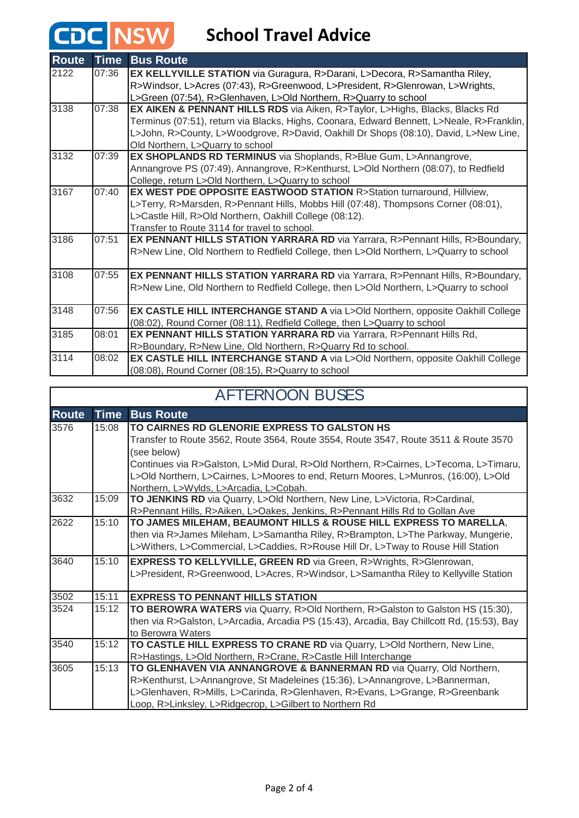## **CDC** NSW School Travel Advice

| <b>Route</b> | <b>Time</b> | <b>Bus Route</b>                                                                                                                                  |
|--------------|-------------|---------------------------------------------------------------------------------------------------------------------------------------------------|
| 2122         | 07:36       | EX KELLYVILLE STATION via Guragura, R>Darani, L>Decora, R>Samantha Riley,                                                                         |
|              |             | R>Windsor, L>Acres (07:43), R>Greenwood, L>President, R>Glenrowan, L>Wrights,<br>L>Green (07:54), R>Glenhaven, L>Old Northern, R>Quarry to school |
| 3138         | 07:38       | EX AIKEN & PENNANT HILLS RDS via Aiken, R>Taylor, L>Highs, Blacks, Blacks Rd                                                                      |
|              |             | Terminus (07:51), return via Blacks, Highs, Coonara, Edward Bennett, L>Neale, R>Franklin,                                                         |
|              |             | L>John, R>County, L>Woodgrove, R>David, Oakhill Dr Shops (08:10), David, L>New Line,                                                              |
|              |             | Old Northern, L>Quarry to school                                                                                                                  |
| 3132         | 07:39       | EX SHOPLANDS RD TERMINUS via Shoplands, R>Blue Gum, L>Annangrove,                                                                                 |
|              |             | Annangrove PS (07:49), Annangrove, R>Kenthurst, L>Old Northern (08:07), to Redfield                                                               |
|              |             | College, return L>Old Northern, L>Quarry to school                                                                                                |
| 3167         | 07:40       | <b>EX WEST PDE OPPOSITE EASTWOOD STATION R&gt;Station turnaround, Hillview,</b>                                                                   |
|              |             | L>Terry, R>Marsden, R>Pennant Hills, Mobbs Hill (07:48), Thompsons Corner (08:01),                                                                |
|              |             | L>Castle Hill, R>Old Northern, Oakhill College (08:12).                                                                                           |
|              |             | Transfer to Route 3114 for travel to school.                                                                                                      |
| 3186         | 07:51       | EX PENNANT HILLS STATION YARRARA RD via Yarrara, R>Pennant Hills, R>Boundary,                                                                     |
|              |             | R>New Line, Old Northern to Redfield College, then L>Old Northern, L>Quarry to school                                                             |
| 3108         | 07:55       | EX PENNANT HILLS STATION YARRARA RD via Yarrara, R>Pennant Hills, R>Boundary,                                                                     |
|              |             | R>New Line, Old Northern to Redfield College, then L>Old Northern, L>Quarry to school                                                             |
| 3148         | 07:56       | EX CASTLE HILL INTERCHANGE STAND A via L>Old Northern, opposite Oakhill College                                                                   |
|              |             | (08:02), Round Corner (08:11), Redfield College, then L>Quarry to school                                                                          |
| 3185         | 08:01       | EX PENNANT HILLS STATION YARRARA RD via Yarrara, R>Pennant Hills Rd,                                                                              |
|              |             | R>Boundary, R>New Line, Old Northern, R>Quarry Rd to school.                                                                                      |
| 3114         | 08:02       | EX CASTLE HILL INTERCHANGE STAND A via L>Old Northern, opposite Oakhill College                                                                   |
|              |             | (08:08), Round Corner (08:15), R>Quarry to school                                                                                                 |

| <b>AFTERNOON BUSES</b> |             |                                                                                            |  |
|------------------------|-------------|--------------------------------------------------------------------------------------------|--|
| <b>Route</b>           | <b>Time</b> | <b>Bus Route</b>                                                                           |  |
| 3576                   | 15:08       | TO CAIRNES RD GLENORIE EXPRESS TO GALSTON HS                                               |  |
|                        |             | Transfer to Route 3562, Route 3564, Route 3554, Route 3547, Route 3511 & Route 3570        |  |
|                        |             | (see below)                                                                                |  |
|                        |             | Continues via R>Galston, L>Mid Dural, R>Old Northern, R>Cairnes, L>Tecoma, L>Timaru,       |  |
|                        |             | L>Old Northern, L>Cairnes, L>Moores to end, Return Moores, L>Munros, (16:00), L>Old        |  |
|                        |             | Northern, L>Wylds, L>Arcadia, L>Cobah.                                                     |  |
| 3632                   | 15:09       | TO JENKINS RD via Quarry, L>Old Northern, New Line, L>Victoria, R>Cardinal,                |  |
|                        |             | R>Pennant Hills, R>Aiken, L>Oakes, Jenkins, R>Pennant Hills Rd to Gollan Ave               |  |
| 2622                   | 15:10       | TO JAMES MILEHAM, BEAUMONT HILLS & ROUSE HILL EXPRESS TO MARELLA,                          |  |
|                        |             | then via R>James Mileham, L>Samantha Riley, R>Brampton, L>The Parkway, Mungerie,           |  |
|                        |             | L>Withers, L>Commercial, L>Caddies, R>Rouse Hill Dr, L>Tway to Rouse Hill Station          |  |
| 3640                   | 15:10       | <b>EXPRESS TO KELLYVILLE, GREEN RD via Green, R&gt;Wrights, R&gt;Glenrowan,</b>            |  |
|                        |             | L>President, R>Greenwood, L>Acres, R>Windsor, L>Samantha Riley to Kellyville Station       |  |
| 3502                   | 15:11       | <b>EXPRESS TO PENNANT HILLS STATION</b>                                                    |  |
| 3524                   | 15:12       | <b>TO BEROWRA WATERS</b> via Quarry, R>Old Northern, R>Galston to Galston HS (15:30),      |  |
|                        |             | then via R>Galston, L>Arcadia, Arcadia PS (15:43), Arcadia, Bay Chillcott Rd, (15:53), Bay |  |
|                        |             | to Berowra Waters                                                                          |  |
| 3540                   | 15:12       | TO CASTLE HILL EXPRESS TO CRANE RD via Quarry, L>Old Northern, New Line,                   |  |
|                        |             | R>Hastings, L>Old Northern, R>Crane, R>Castle Hill Interchange                             |  |
| 3605                   | 15:13       | TO GLENHAVEN VIA ANNANGROVE & BANNERMAN RD via Quarry, Old Northern,                       |  |
|                        |             | R>Kenthurst, L>Annangrove, St Madeleines (15:36), L>Annangrove, L>Bannerman,               |  |
|                        |             | L>Glenhaven, R>Mills, L>Carinda, R>Glenhaven, R>Evans, L>Grange, R>Greenbank               |  |
|                        |             | Loop, R>Linksley, L>Ridgecrop, L>Gilbert to Northern Rd                                    |  |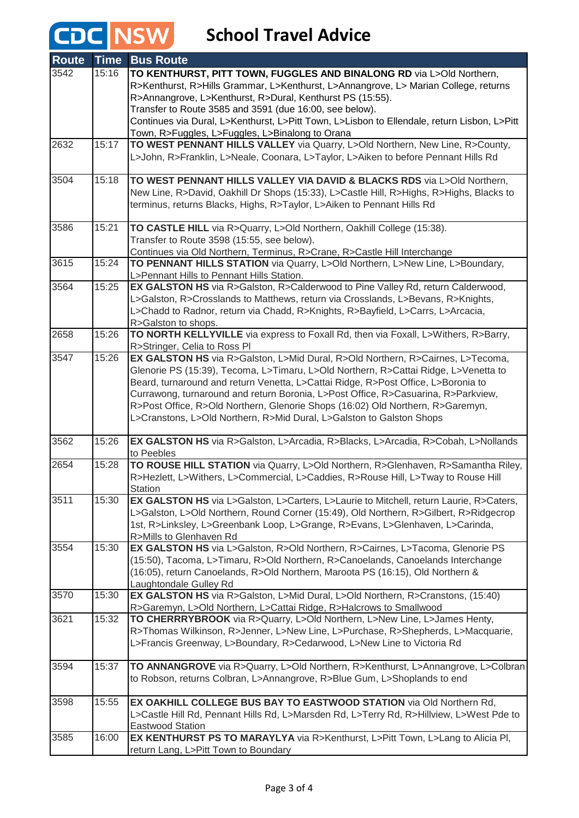# **CDC** NSW School Travel Advice

| <b>Route</b> | <b>Time</b> | <b>Bus Route</b>                                                                                                                                                       |
|--------------|-------------|------------------------------------------------------------------------------------------------------------------------------------------------------------------------|
| 3542         | 15:16       | TO KENTHURST, PITT TOWN, FUGGLES AND BINALONG RD via L>Old Northern,                                                                                                   |
|              |             | R>Kenthurst, R>Hills Grammar, L>Kenthurst, L>Annangrove, L> Marian College, returns                                                                                    |
|              |             | R>Annangrove, L>Kenthurst, R>Dural, Kenthurst PS (15:55).                                                                                                              |
|              |             | Transfer to Route 3585 and 3591 (due 16:00, see below).                                                                                                                |
|              |             | Continues via Dural, L>Kenthurst, L>Pitt Town, L>Lisbon to Ellendale, return Lisbon, L>Pitt                                                                            |
|              |             | Town, R>Fuggles, L>Fuggles, L>Binalong to Orana                                                                                                                        |
| 2632         | 15:17       | TO WEST PENNANT HILLS VALLEY via Quarry, L>Old Northern, New Line, R>County,                                                                                           |
|              |             | L>John, R>Franklin, L>Neale, Coonara, L>Taylor, L>Aiken to before Pennant Hills Rd                                                                                     |
|              |             |                                                                                                                                                                        |
| 3504         | 15:18       | TO WEST PENNANT HILLS VALLEY VIA DAVID & BLACKS RDS via L>Old Northern,                                                                                                |
|              |             | New Line, R>David, Oakhill Dr Shops (15:33), L>Castle Hill, R>Highs, R>Highs, Blacks to                                                                                |
|              |             | terminus, returns Blacks, Highs, R>Taylor, L>Aiken to Pennant Hills Rd                                                                                                 |
| 3586         | 15:21       | TO CASTLE HILL via R>Quarry, L>Old Northern, Oakhill College (15:38).                                                                                                  |
|              |             | Transfer to Route 3598 (15:55, see below).                                                                                                                             |
|              |             | Continues via Old Northern, Terminus, R>Crane, R>Castle Hill Interchange                                                                                               |
| 3615         | 15:24       | TO PENNANT HILLS STATION via Quarry, L>Old Northern, L>New Line, L>Boundary,                                                                                           |
|              |             | L>Pennant Hills to Pennant Hills Station.                                                                                                                              |
| 3564         | 15:25       | EX GALSTON HS via R>Galston, R>Calderwood to Pine Valley Rd, return Calderwood,                                                                                        |
|              |             | L>Galston, R>Crosslands to Matthews, return via Crosslands, L>Bevans, R>Knights,                                                                                       |
|              |             | L>Chadd to Radnor, return via Chadd, R>Knights, R>Bayfield, L>Carrs, L>Arcacia,                                                                                        |
|              |             | R>Galston to shops.                                                                                                                                                    |
| 2658         | 15:26       | TO NORTH KELLYVILLE via express to Foxall Rd, then via Foxall, L>Withers, R>Barry,                                                                                     |
|              |             | R>Stringer, Celia to Ross PI                                                                                                                                           |
| 3547         | 15:26       | EX GALSTON HS via R>Galston, L>Mid Dural, R>Old Northern, R>Cairnes, L>Tecoma,                                                                                         |
|              |             | Glenorie PS (15:39), Tecoma, L>Timaru, L>Old Northern, R>Cattai Ridge, L>Venetta to                                                                                    |
|              |             | Beard, turnaround and return Venetta, L>Cattai Ridge, R>Post Office, L>Boronia to<br>Currawong, turnaround and return Boronia, L>Post Office, R>Casuarina, R>Parkview, |
|              |             | R>Post Office, R>Old Northern, Glenorie Shops (16:02) Old Northern, R>Garemyn,                                                                                         |
|              |             | L>Cranstons, L>Old Northern, R>Mid Dural, L>Galston to Galston Shops                                                                                                   |
|              |             |                                                                                                                                                                        |
| 3562         | 15:26       | EX GALSTON HS via R>Galston, L>Arcadia, R>Blacks, L>Arcadia, R>Cobah, L>Nollands                                                                                       |
|              |             | to Peebles                                                                                                                                                             |
| 2654         | 15:28       | TO ROUSE HILL STATION via Quarry, L>Old Northern, R>Glenhaven, R>Samantha Riley,                                                                                       |
|              |             | R>Hezlett, L>Withers, L>Commercial, L>Caddies, R>Rouse Hill, L>Tway to Rouse Hill                                                                                      |
| 3511         |             | <b>Station</b>                                                                                                                                                         |
|              | 15:30       | EX GALSTON HS via L>Galston, L>Carters, L>Laurie to Mitchell, return Laurie, R>Caters,                                                                                 |
|              |             | L>Galston, L>Old Northern, Round Corner (15:49), Old Northern, R>Gilbert, R>Ridgecrop                                                                                  |
|              |             | 1st, R>Linksley, L>Greenbank Loop, L>Grange, R>Evans, L>Glenhaven, L>Carinda,<br>R>Mills to Glenhaven Rd                                                               |
| 3554         | 15:30       | EX GALSTON HS via L>Galston, R>Old Northern, R>Cairnes, L>Tacoma, Glenorie PS                                                                                          |
|              |             | (15:50), Tacoma, L>Timaru, R>Old Northern, R>Canoelands, Canoelands Interchange                                                                                        |
|              |             | (16:05), return Canoelands, R>Old Northern, Maroota PS (16:15), Old Northern &                                                                                         |
|              |             | Laughtondale Gulley Rd                                                                                                                                                 |
| 3570         | 15:30       | EX GALSTON HS via R>Galston, L>Mid Dural, L>Old Northern, R>Cranstons, (15:40)                                                                                         |
|              |             | R>Garemyn, L>Old Northern, L>Cattai Ridge, R>Halcrows to Smallwood                                                                                                     |
| 3621         | 15:32       | TO CHERRRYBROOK via R>Quarry, L>Old Northern, L>New Line, L>James Henty,                                                                                               |
|              |             | R>Thomas Wilkinson, R>Jenner, L>New Line, L>Purchase, R>Shepherds, L>Macquarie,                                                                                        |
|              |             | L>Francis Greenway, L>Boundary, R>Cedarwood, L>New Line to Victoria Rd                                                                                                 |
|              |             |                                                                                                                                                                        |
| 3594         | 15:37       | TO ANNANGROVE via R>Quarry, L>Old Northern, R>Kenthurst, L>Annangrove, L>Colbran                                                                                       |
|              |             | to Robson, returns Colbran, L>Annangrove, R>Blue Gum, L>Shoplands to end                                                                                               |
| 3598         | 15:55       | EX OAKHILL COLLEGE BUS BAY TO EASTWOOD STATION via Old Northern Rd,                                                                                                    |
|              |             | L>Castle Hill Rd, Pennant Hills Rd, L>Marsden Rd, L>Terry Rd, R>Hillview, L>West Pde to                                                                                |
|              |             | <b>Eastwood Station</b>                                                                                                                                                |
| 3585         | 16:00       | EX KENTHURST PS TO MARAYLYA via R>Kenthurst, L>Pitt Town, L>Lang to Alicia PI,                                                                                         |
|              |             | return Lang, L>Pitt Town to Boundary                                                                                                                                   |